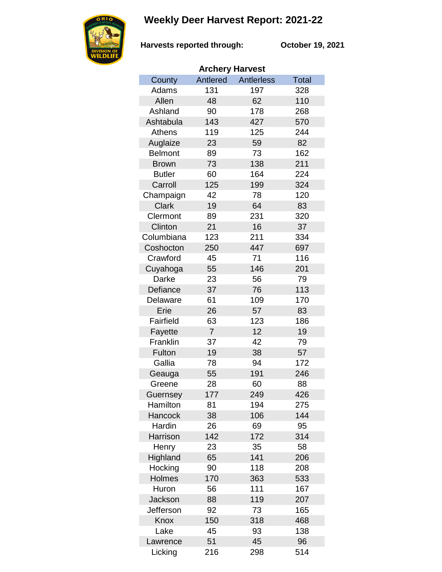## **Weekly Deer Harvest Report: 2021-22**



**Harvests reported through: October 19, 2021**

| <b>Archery Harvest</b> |                |                   |       |  |  |  |
|------------------------|----------------|-------------------|-------|--|--|--|
| County                 | Antlered       | <b>Antlerless</b> | Total |  |  |  |
| Adams                  | 131            | 197               | 328   |  |  |  |
| Allen                  | 48             | 62                | 110   |  |  |  |
| Ashland                | 90             | 178               | 268   |  |  |  |
| Ashtabula              | 143            | 427               | 570   |  |  |  |
| Athens                 | 119            | 125               | 244   |  |  |  |
| Auglaize               | 23             | 59                | 82    |  |  |  |
| <b>Belmont</b>         | 89             | 73                | 162   |  |  |  |
| <b>Brown</b>           | 73             | 138               | 211   |  |  |  |
| <b>Butler</b>          | 60             | 164               | 224   |  |  |  |
| Carroll                | 125            | 199               | 324   |  |  |  |
| Champaign              | 42             | 78                | 120   |  |  |  |
| <b>Clark</b>           | 19             | 64                | 83    |  |  |  |
| Clermont               | 89             | 231               | 320   |  |  |  |
| Clinton                | 21             | 16                | 37    |  |  |  |
| Columbiana             | 123            | 211               | 334   |  |  |  |
| Coshocton              | 250            | 447               | 697   |  |  |  |
| Crawford               | 45             | 71                | 116   |  |  |  |
| Cuyahoga               | 55             | 146               | 201   |  |  |  |
| Darke                  | 23             | 56                | 79    |  |  |  |
| Defiance               | 37             | 76                | 113   |  |  |  |
| Delaware               | 61             | 109               | 170   |  |  |  |
| Erie                   | 26             | 57                | 83    |  |  |  |
| Fairfield              | 63             | 123               | 186   |  |  |  |
| Fayette                | $\overline{7}$ | 12                | 19    |  |  |  |
| Franklin               | 37             | 42                | 79    |  |  |  |
| Fulton                 | 19             | 38                | 57    |  |  |  |
| Gallia                 | 78             | 94                | 172   |  |  |  |
| Geauga                 | 55             | 191               | 246   |  |  |  |
| Greene                 | 28             | 60                | 88    |  |  |  |
| Guernsey               | 177            | 249               | 426   |  |  |  |
| Hamilton               | 81             | 194               | 275   |  |  |  |
| Hancock                | 38             | 106               | 144   |  |  |  |
| Hardin                 | 26             | 69                | 95    |  |  |  |
| Harrison               | 142            | 172               | 314   |  |  |  |
| Henry                  | 23             | 35                | 58    |  |  |  |
| Highland               | 65             | 141               | 206   |  |  |  |
| Hocking                | 90             | 118               | 208   |  |  |  |
| <b>Holmes</b>          | 170            | 363               | 533   |  |  |  |
| Huron                  | 56             | 111               | 167   |  |  |  |
| <b>Jackson</b>         | 88             | 119               | 207   |  |  |  |
| Jefferson              | 92             | 73                | 165   |  |  |  |
| Knox                   | 150            | 318               | 468   |  |  |  |
| Lake                   | 45             | 93                | 138   |  |  |  |
| Lawrence               | 51             | 45                | 96    |  |  |  |
| Licking                | 216            | 298               | 514   |  |  |  |